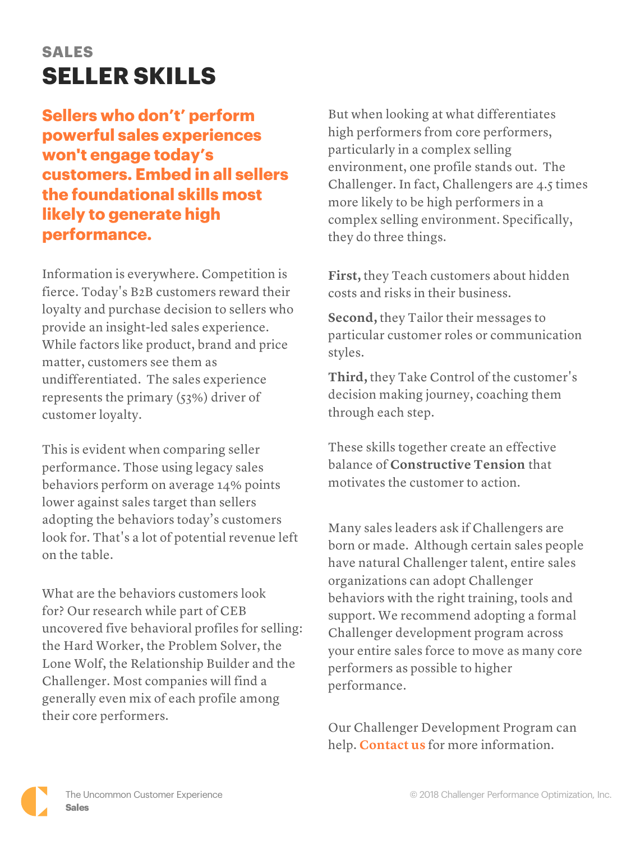## **SALES SELLER SKILLS**

## **Sellers who don't' perform powerful sales experiences won't engage today's customers. Embed in all sellers the foundational skills most likely to generate high performance.**

Information is everywhere. Competition is fierce. Today's B2B customers reward their loyalty and purchase decision to sellers who provide an insight-led sales experience. While factors like product, brand and price matter, customers see them as undifferentiated. The sales experience represents the primary (53%) driver of customer loyalty.

This is evident when comparing seller performance. Those using legacy sales behaviors perform on average 14% points lower against sales target than sellers adopting the behaviors today's customers look for. That's a lot of potential revenue left on the table.

What are the behaviors customers look for? Our research while part of CEB uncovered five behavioral profiles for selling: the Hard Worker, the Problem Solver, the Lone Wolf, the Relationship Builder and the Challenger. Most companies will find a generally even mix of each profile among their core performers.

But when looking at what differentiates high performers from core performers, particularly in a complex selling environment, one profile stands out. The Challenger. In fact, Challengers are 4.5 times more likely to be high performers in a complex selling environment. Specifically, they do three things.

**First,** they Teach customers about hidden costs and risks in their business.

**Second,** they Tailor their messages to particular customer roles or communication styles.

**Third,** they Take Control of the customer's decision making journey, coaching them through each step.

These skills together create an effective balance of **Constructive Tension** that motivates the customer to action.

Many sales leaders ask if Challengers are born or made. Although certain sales people have natural Challenger talent, entire sales organizations can adopt Challenger behaviors with the right training, tools and support. We recommend adopting a formal Challenger development program across your entire sales force to move as many core performers as possible to higher performance.

Our Challenger Development Program can help. **[Contact us](https://www.challengerinc.com/contact/)** for more information.